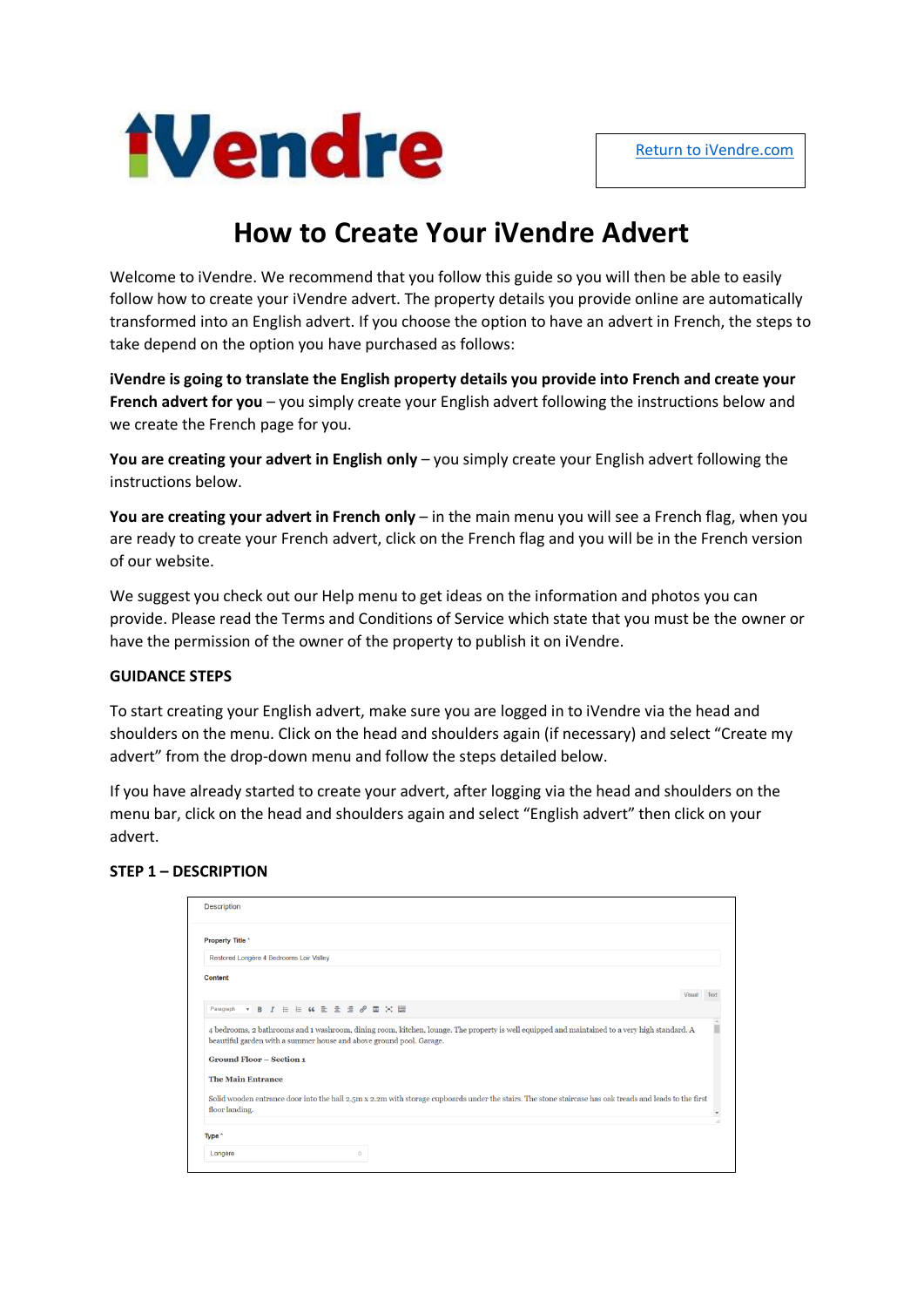

# **How to Create Your iVendre Advert**

Welcome to iVendre. We recommend that you follow this guide so you will then be able to easily follow how to create your iVendre advert. The property details you provide online are automatically transformed into an English advert. If you choose the option to have an advert in French, the steps to take depend on the option you have purchased as follows:

**iVendre is going to translate the English property details you provide into French and create your French advert for you** – you simply create your English advert following the instructions below and we create the French page for you.

**You are creating your advert in English only** – you simply create your English advert following the instructions below.

**You are creating your advert in French only** – in the main menu you will see a French flag, when you are ready to create your French advert, click on the French flag and you will be in the French version of our website.

We suggest you check out our Help menu to get ideas on the information and photos you can provide. Please read the Terms and Conditions of Service which state that you must be the owner or have the permission of the owner of the property to publish it on iVendre.

## **GUIDANCE STEPS**

To start creating your English advert, make sure you are logged in to iVendre via the head and shoulders on the menu. Click on the head and shoulders again (if necessary) and select "Create my advert" from the drop-down menu and follow the steps detailed below.

If you have already started to create your advert, after logging via the head and shoulders on the menu bar, click on the head and shoulders again and select "English advert" then click on your advert.

## **STEP 1 – DESCRIPTION**

| <b>Description</b>                                                                                                                                                                                                   |        |  |
|----------------------------------------------------------------------------------------------------------------------------------------------------------------------------------------------------------------------|--------|--|
| Property Title *                                                                                                                                                                                                     |        |  |
| Restored Longère 4 Bedrooms Loir Valley                                                                                                                                                                              |        |  |
| Content                                                                                                                                                                                                              |        |  |
|                                                                                                                                                                                                                      | Visual |  |
| ▼ B J E E G E 全 量 2 量 X 圖<br>Paragraph                                                                                                                                                                               |        |  |
| 4 bedrooms, 2 bathrooms and 1 washroom, dining room, kitchen, lounge. The property is well equipped and maintained to a very high standard. A<br>beautiful garden with a summer house and above ground pool. Garage. |        |  |
| <b>Ground Floor - Section 1</b>                                                                                                                                                                                      |        |  |
| <b>The Main Entrance</b>                                                                                                                                                                                             |        |  |
| Solid wooden entrance door into the hall 2.5m x 2.2m with storage cupboards under the stairs. The stone staircase has oak treads and leads to the first<br>floor landing.                                            |        |  |
|                                                                                                                                                                                                                      |        |  |
| Type *                                                                                                                                                                                                               |        |  |
| Longère<br>$\circ$                                                                                                                                                                                                   |        |  |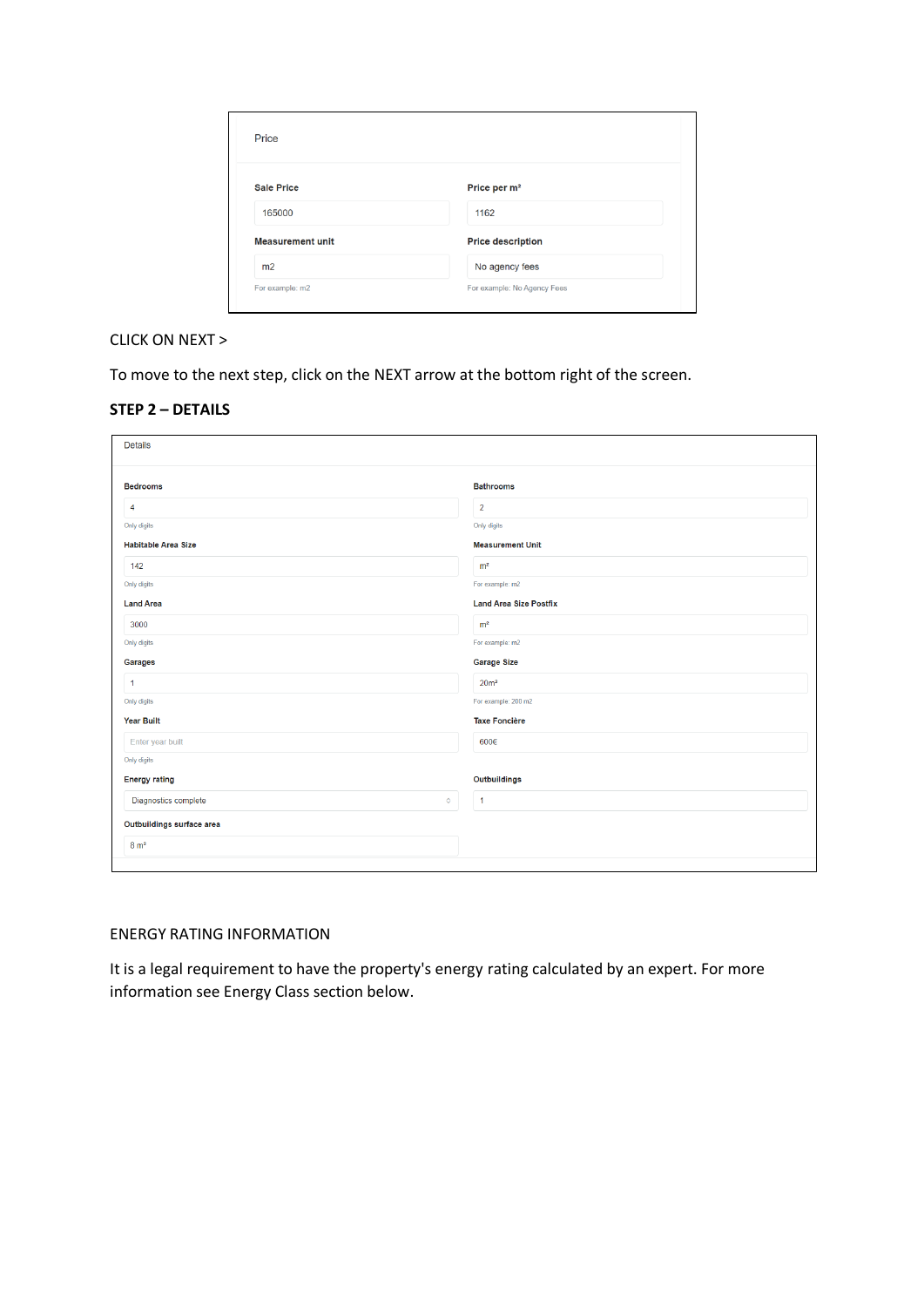| Price                   |                             |
|-------------------------|-----------------------------|
| <b>Sale Price</b>       | Price per m <sup>2</sup>    |
| 165000                  | 1162                        |
| <b>Measurement unit</b> | <b>Price description</b>    |
| m2                      | No agency fees              |
| For example: m2         | For example: No Agency Fees |

## CLICK ON NEXT >

To move to the next step, click on the NEXT arrow at the bottom right of the screen.

| <b>Details</b>             |                               |  |  |
|----------------------------|-------------------------------|--|--|
| <b>Bedrooms</b>            | <b>Bathrooms</b>              |  |  |
| $\overline{4}$             | $\overline{2}$                |  |  |
| Only digits                | Only digits                   |  |  |
| <b>Habitable Area Size</b> | <b>Measurement Unit</b>       |  |  |
| 142                        | m <sup>2</sup>                |  |  |
| Only digits                | For example: m2               |  |  |
| <b>Land Area</b>           | <b>Land Area Size Postfix</b> |  |  |
| 3000                       | m <sup>2</sup>                |  |  |
| Only digits                | For example: m2               |  |  |
| Garages                    | <b>Garage Size</b>            |  |  |
| $\mathbf{1}$               | 20 <sup>m²</sup>              |  |  |
| Only digits                | For example: 200 m2           |  |  |
| <b>Year Built</b>          | <b>Taxe Foncière</b>          |  |  |
| Enter year built           | 600€                          |  |  |
| Only digits                |                               |  |  |
| <b>Energy rating</b>       | Outbuildings                  |  |  |
| Diagnostics complete       | $\overline{1}$<br>$\Diamond$  |  |  |
| Outbuildings surface area  |                               |  |  |
| $8 \text{ m}^2$            |                               |  |  |

## ENERGY RATING INFORMATION

It is a legal requirement to have the property's energy rating calculated by an expert. For more information see Energy Class section below.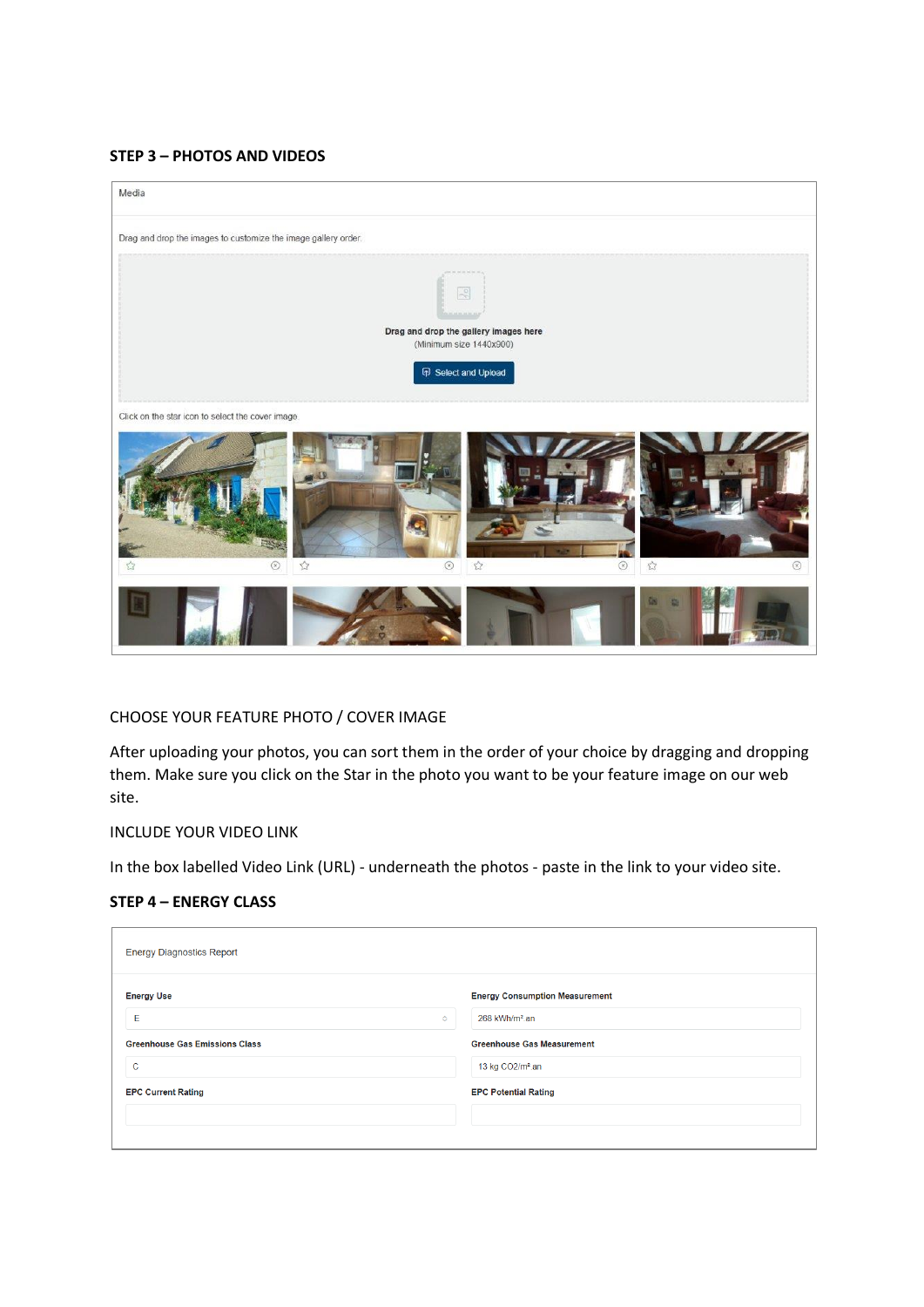#### **STEP 3 – PHOTOS AND VIDEOS**



## CHOOSE YOUR FEATURE PHOTO / COVER IMAGE

After uploading your photos, you can sort them in the order of your choice by dragging and dropping them. Make sure you click on the Star in the photo you want to be your feature image on our web site.

#### INCLUDE YOUR VIDEO LINK

In the box labelled Video Link (URL) - underneath the photos - paste in the link to your video site.

#### **STEP 4 – ENERGY CLASS**

| <b>Energy Diagnostics Report</b>      |                                       |
|---------------------------------------|---------------------------------------|
| <b>Energy Use</b>                     | <b>Energy Consumption Measurement</b> |
| E<br>$\circ$                          | 268 kWh/m <sup>2</sup> .an            |
| <b>Greenhouse Gas Emissions Class</b> | <b>Greenhouse Gas Measurement</b>     |
| $\mathbf C$                           | 13 kg CO2/m <sup>2</sup> .an          |
| <b>EPC Current Rating</b>             | <b>EPC Potential Rating</b>           |
|                                       |                                       |
|                                       |                                       |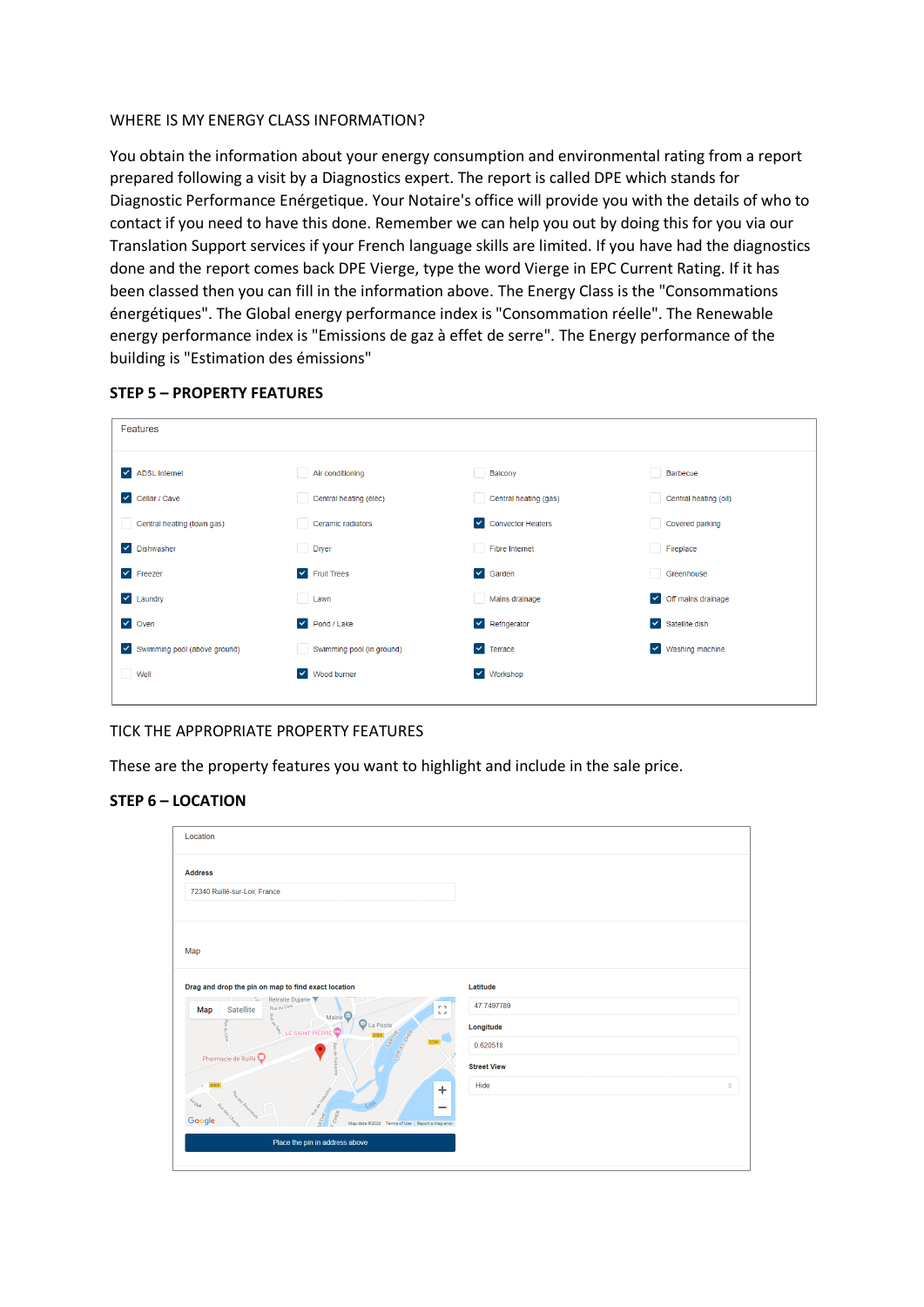## WHERE IS MY ENERGY CLASS INFORMATION?

You obtain the information about your energy consumption and environmental rating from a report prepared following a visit by a Diagnostics expert. The report is called DPE which stands for Diagnostic Performance Enérgetique. Your Notaire's office will provide you with the details of who to contact if you need to have this done. Remember we can help you out by doing this for you via our Translation Support services if your French language skills are limited. If you have had the diagnostics done and the report comes back DPE Vierge, type the word Vierge in EPC Current Rating. If it has been classed then you can fill in the information above. The Energy Class is the "Consommations énergétiques". The Global energy performance index is "Consommation réelle". The Renewable energy performance index is "Emissions de gaz à effet de serre". The Energy performance of the building is "Estimation des émissions"

| Features                            |                                   |                                  |                                     |
|-------------------------------------|-----------------------------------|----------------------------------|-------------------------------------|
| $\blacktriangleright$ ADSL Internet | Air conditioning                  | Balcony                          | Barbecue                            |
| $\blacktriangleright$ Cellar / Cave | Central heating (elec)            | Central heating (gas)            | Central heating (oil)               |
| Central heating (town gas)          | Ceramic radiators                 | ✔ Convector Heaters              | Covered parking                     |
| Dishwasher<br>$\vert \vee \vert$    | Dryer                             | <b>Fibre Internet</b>            | Fireplace                           |
| $\blacktriangleright$ Freezer       | $\blacktriangleright$ Fruit Trees | $\vee$ Garden                    | Greenhouse                          |
| $\vee$ Laundry                      | <b>Contract</b><br>Lawn           | Mains drainage                   | $\triangleright$ Off mains drainage |
| $\vee$ Oven                         | $\blacktriangleright$ Pond / Lake | $\vee$ Refrigerator              | $\triangleright$ Satellite dish     |
| V Swimming pool (above ground)      | Swimming pool (in ground)         | $\vert \mathbf{v} \vert$ Terrace | Washing machine<br>$\checkmark$     |
| Well                                | V Wood burner                     | v Workshop                       |                                     |
|                                     |                                   |                                  |                                     |

## **STEP 5 – PROPERTY FEATURES**

## TICK THE APPROPRIATE PROPERTY FEATURES

These are the property features you want to highlight and include in the sale price.

## **STEP 6 – LOCATION**

| Location                                                                                                                                                                                    |                    |
|---------------------------------------------------------------------------------------------------------------------------------------------------------------------------------------------|--------------------|
| <b>Address</b>                                                                                                                                                                              |                    |
| 72340 Ruillé-sur-Loir, France                                                                                                                                                               |                    |
|                                                                                                                                                                                             |                    |
| Map                                                                                                                                                                                         |                    |
| Drag and drop the pin on map to find exact location                                                                                                                                         | Latitude           |
| Retraite Dujarie<br>Rue du Clos<br>Đ.<br><b>Satellite</b><br>Map<br>$\frac{2}{5}$<br>Mairie <sup>O</sup>                                                                                    | 47.7497789         |
| La Poste<br>coske<br>LE SAINT PIERRE<br>SARTHE                                                                                                                                              | Longitude          |
| LOME ET, COMBA<br>D290<br>Pharmacie de Ruillé                                                                                                                                               | 0.620518           |
|                                                                                                                                                                                             | <b>Street View</b> |
| ÷                                                                                                                                                                                           | Hide<br>$\circ$    |
| River Controlling<br>$\epsilon_{\rm out}$<br>ea Bouwreuns<br>$\overline{\phantom{a}}$<br>le dee Charo<br><b>CHER</b><br>BIFIE<br>Google<br>Map data @2020 Terms of Use   Report a map error |                    |
| Place the pin in address above                                                                                                                                                              |                    |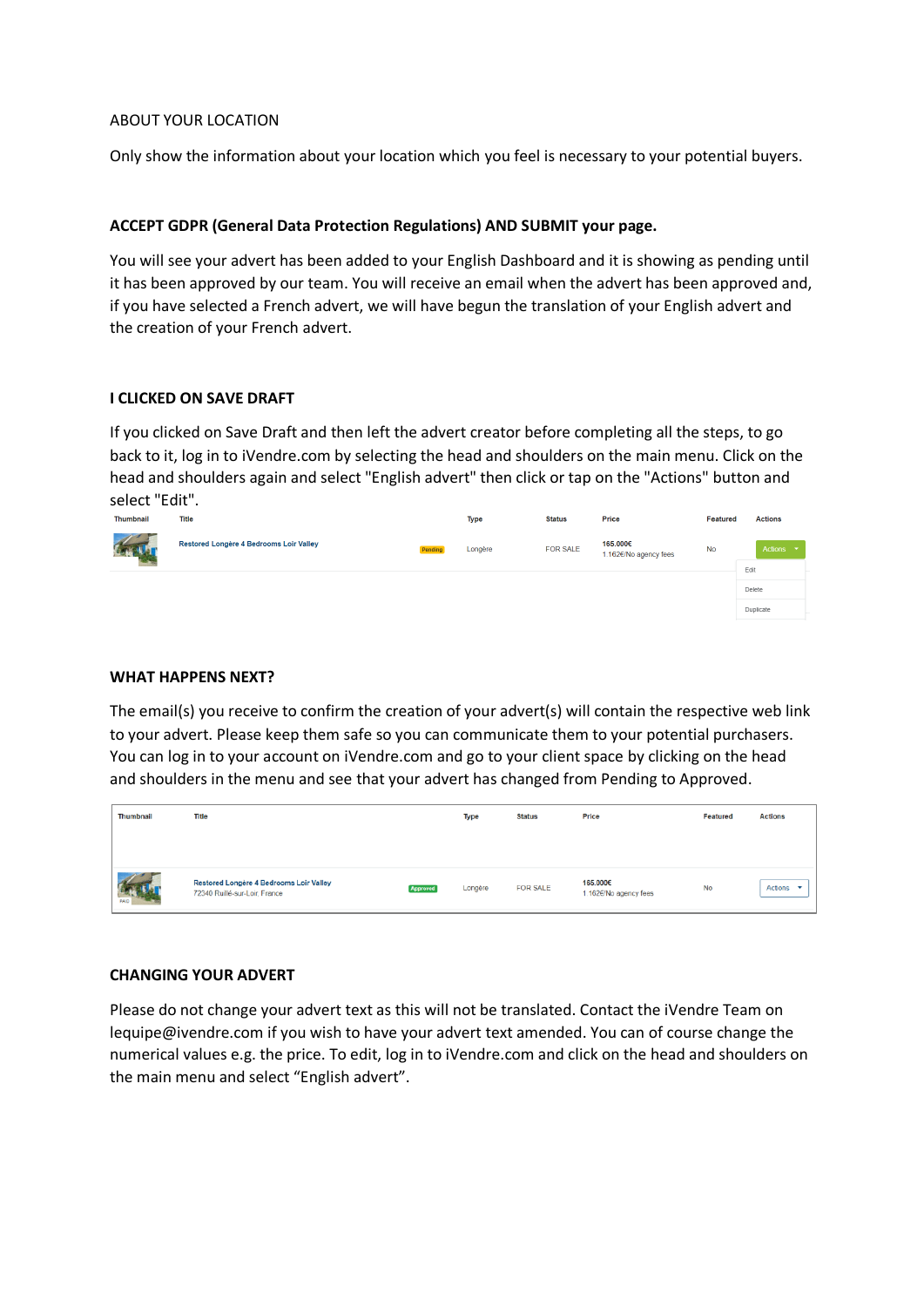#### ABOUT YOUR LOCATION

Only show the information about your location which you feel is necessary to your potential buyers.

## **ACCEPT GDPR (General Data Protection Regulations) AND SUBMIT your page.**

You will see your advert has been added to your English Dashboard and it is showing as pending until it has been approved by our team. You will receive an email when the advert has been approved and, if you have selected a French advert, we will have begun the translation of your English advert and the creation of your French advert.

#### **I CLICKED ON SAVE DRAFT**

If you clicked on Save Draft and then left the advert creator before completing all the steps, to go back to it, log in to iVendre.com by selecting the head and shoulders on the main menu. Click on the head and shoulders again and select "English advert" then click or tap on the "Actions" button and select "Edit".



#### **WHAT HAPPENS NEXT?**

The email(s) you receive to confirm the creation of your advert(s) will contain the respective web link to your advert. Please keep them safe so you can communicate them to your potential purchasers. You can log in to your account on iVendre.com and go to your client space by clicking on the head and shoulders in the menu and see that your advert has changed from Pending to Approved.

| Thumbnail | <b>Title</b>                                                             |                 | Type    | <b>Status</b>   | Price                             | Featured | <b>Actions</b> |
|-----------|--------------------------------------------------------------------------|-----------------|---------|-----------------|-----------------------------------|----------|----------------|
|           |                                                                          |                 |         |                 |                                   |          |                |
|           |                                                                          |                 |         |                 |                                   |          |                |
| PAID      | Restored Longère 4 Bedrooms Loir Valley<br>72340 Ruillé-sur-Loir, France | <b>Approved</b> | Longère | <b>FOR SALE</b> | 165.000€<br>1.162€/No agency fees | No       | <b>Actions</b> |

## **CHANGING YOUR ADVERT**

Please do not change your advert text as this will not be translated. Contact the iVendre Team on lequipe@ivendre.com if you wish to have your advert text amended. You can of course change the numerical values e.g. the price. To edit, log in to iVendre.com and click on the head and shoulders on the main menu and select "English advert".